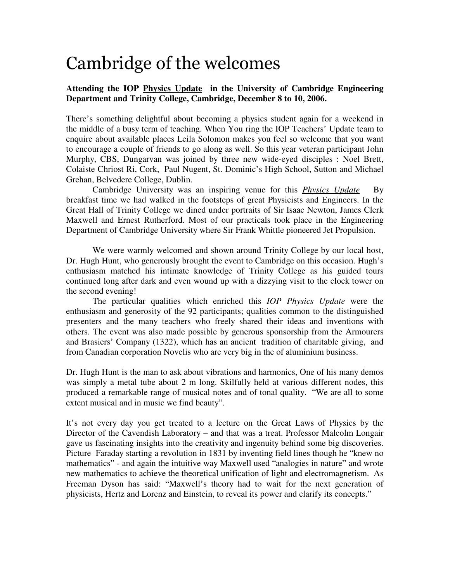## Cambridge of the welcomes

## **Attending the IOP Physics Update in the University of Cambridge Engineering Department and Trinity College, Cambridge, December 8 to 10, 2006.**

There's something delightful about becoming a physics student again for a weekend in the middle of a busy term of teaching. When You ring the IOP Teachers' Update team to enquire about available places Leila Solomon makes you feel so welcome that you want to encourage a couple of friends to go along as well. So this year veteran participant John Murphy, CBS, Dungarvan was joined by three new wide-eyed disciples : Noel Brett, Colaiste Chriost Ri, Cork, Paul Nugent, St. Dominic's High School, Sutton and Michael Grehan, Belvedere College, Dublin.

 Cambridge University was an inspiring venue for this *Physics Update* By breakfast time we had walked in the footsteps of great Physicists and Engineers. In the Great Hall of Trinity College we dined under portraits of Sir Isaac Newton, James Clerk Maxwell and Ernest Rutherford. Most of our practicals took place in the Engineering Department of Cambridge University where Sir Frank Whittle pioneered Jet Propulsion.

 We were warmly welcomed and shown around Trinity College by our local host, Dr. Hugh Hunt, who generously brought the event to Cambridge on this occasion. Hugh's enthusiasm matched his intimate knowledge of Trinity College as his guided tours continued long after dark and even wound up with a dizzying visit to the clock tower on the second evening!

 The particular qualities which enriched this *IOP Physics Update* were the enthusiasm and generosity of the 92 participants; qualities common to the distinguished presenters and the many teachers who freely shared their ideas and inventions with others. The event was also made possible by generous sponsorship from the Armourers and Brasiers' Company (1322), which has an ancient tradition of charitable giving, and from Canadian corporation Novelis who are very big in the of aluminium business.

Dr. Hugh Hunt is the man to ask about vibrations and harmonics, One of his many demos was simply a metal tube about 2 m long. Skilfully held at various different nodes, this produced a remarkable range of musical notes and of tonal quality. "We are all to some extent musical and in music we find beauty".

It's not every day you get treated to a lecture on the Great Laws of Physics by the Director of the Cavendish Laboratory – and that was a treat. Professor Malcolm Longair gave us fascinating insights into the creativity and ingenuity behind some big discoveries. Picture Faraday starting a revolution in 1831 by inventing field lines though he "knew no mathematics" - and again the intuitive way Maxwell used "analogies in nature" and wrote new mathematics to achieve the theoretical unification of light and electromagnetism. As Freeman Dyson has said: "Maxwell's theory had to wait for the next generation of physicists, Hertz and Lorenz and Einstein, to reveal its power and clarify its concepts."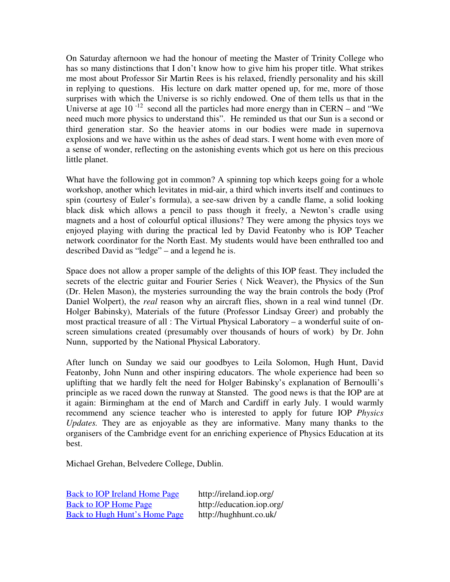On Saturday afternoon we had the honour of meeting the Master of Trinity College who has so many distinctions that I don't know how to give him his proper title. What strikes me most about Professor Sir Martin Rees is his relaxed, friendly personality and his skill in replying to questions. His lecture on dark matter opened up, for me, more of those surprises with which the Universe is so richly endowed. One of them tells us that in the Universe at age 10 $^{-12}$  second all the particles had more energy than in CERN – and "We need much more physics to understand this". He reminded us that our Sun is a second or third generation star. So the heavier atoms in our bodies were made in supernova explosions and we have within us the ashes of dead stars. I went home with even more of a sense of wonder, reflecting on the astonishing events which got us here on this precious little planet.

What have the following got in common? A spinning top which keeps going for a whole workshop, another which levitates in mid-air, a third which inverts itself and continues to spin (courtesy of Euler's formula), a see-saw driven by a candle flame, a solid looking black disk which allows a pencil to pass though it freely, a Newton's cradle using magnets and a host of colourful optical illusions? They were among the physics toys we enjoyed playing with during the practical led by David Featonby who is IOP Teacher network coordinator for the North East. My students would have been enthralled too and described David as "ledge" – and a legend he is.

Space does not allow a proper sample of the delights of this IOP feast. They included the secrets of the electric guitar and Fourier Series ( Nick Weaver), the Physics of the Sun (Dr. Helen Mason), the mysteries surrounding the way the brain controls the body (Prof Daniel Wolpert), the *real* reason why an aircraft flies, shown in a real wind tunnel (Dr. Holger Babinsky), Materials of the future (Professor Lindsay Greer) and probably the most practical treasure of all : The Virtual Physical Laboratory – a wonderful suite of onscreen simulations created (presumably over thousands of hours of work) by Dr. John Nunn, supported by the National Physical Laboratory.

After lunch on Sunday we said our goodbyes to Leila Solomon, Hugh Hunt, David Featonby, John Nunn and other inspiring educators. The whole experience had been so uplifting that we hardly felt the need for Holger Babinsky's explanation of Bernoulli's principle as we raced down the runway at Stansted. The good news is that the IOP are at it again: Birmingham at the end of March and Cardiff in early July. I would warmly recommend any science teacher who is interested to apply for future IOP *Physics Updates.* They are as enjoyable as they are informative. Many many thanks to the organisers of the Cambridge event for an enriching experience of Physics Education at its best.

Michael Grehan, Belvedere College, Dublin.

| <b>Back to IOP Ireland Home Page</b> | http://ireland.iop.org/   |
|--------------------------------------|---------------------------|
| <b>Back to IOP Home Page</b>         | http://education.iop.org/ |
| <b>Back to Hugh Hunt's Home Page</b> | http://hughhunt.co.uk/    |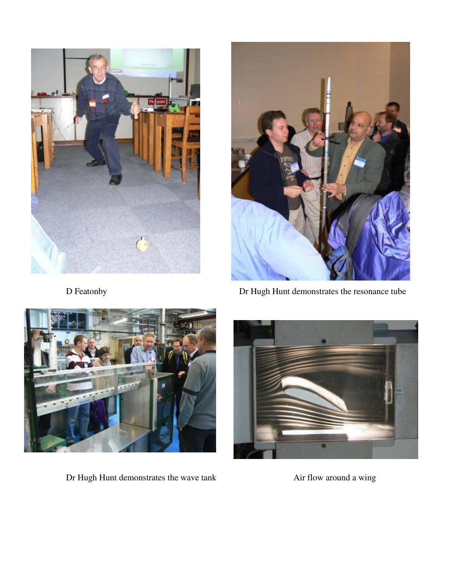



D Featonby **Dr** Hugh Hunt demonstrates the resonance tube



Dr Hugh Hunt demonstrates the wave tank Air flow around a wing